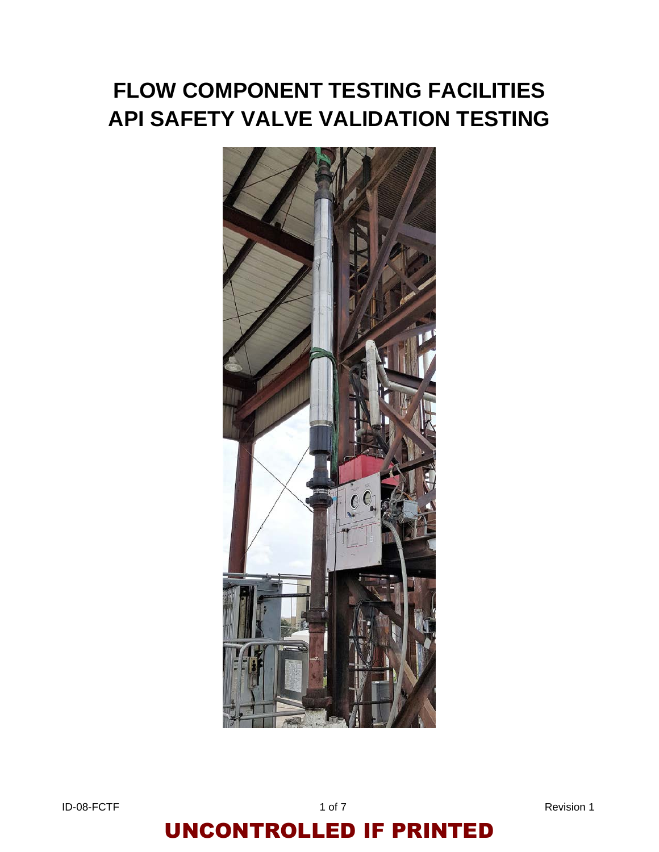# **FLOW COMPONENT TESTING FACILITIES API SAFETY VALVE VALIDATION TESTING**



ID-08-FCTF 1 of 7 Revision 1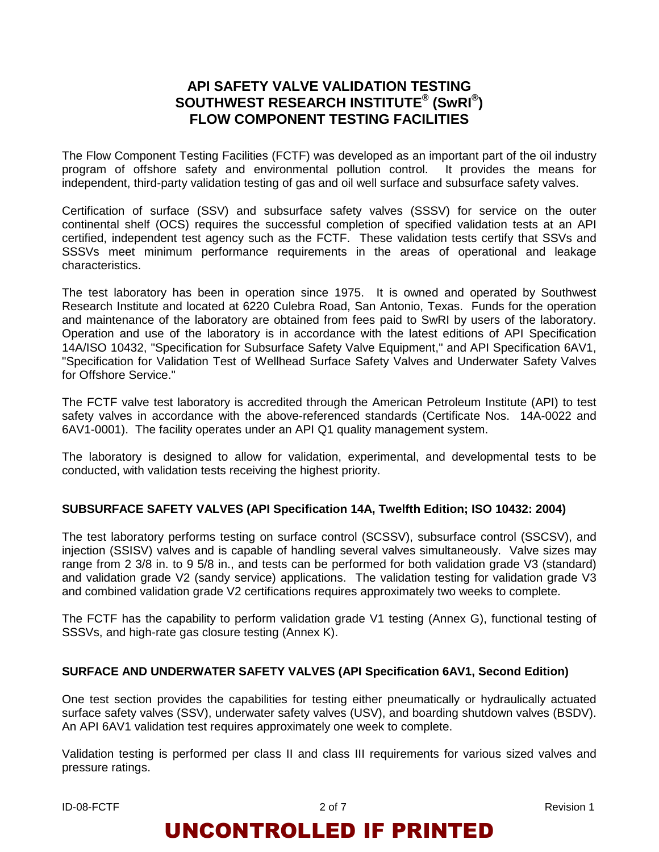### **API SAFETY VALVE VALIDATION TESTING SOUTHWEST RESEARCH INSTITUTE® (SwRI®) FLOW COMPONENT TESTING FACILITIES**

The Flow Component Testing Facilities (FCTF) was developed as an important part of the oil industry program of offshore safety and environmental pollution control. It provides the means for independent, third-party validation testing of gas and oil well surface and subsurface safety valves.

Certification of surface (SSV) and subsurface safety valves (SSSV) for service on the outer continental shelf (OCS) requires the successful completion of specified validation tests at an API certified, independent test agency such as the FCTF. These validation tests certify that SSVs and SSSVs meet minimum performance requirements in the areas of operational and leakage characteristics.

The test laboratory has been in operation since 1975. It is owned and operated by Southwest Research Institute and located at 6220 Culebra Road, San Antonio, Texas. Funds for the operation and maintenance of the laboratory are obtained from fees paid to SwRI by users of the laboratory. Operation and use of the laboratory is in accordance with the latest editions of API Specification 14A/ISO 10432, "Specification for Subsurface Safety Valve Equipment," and API Specification 6AV1, "Specification for Validation Test of Wellhead Surface Safety Valves and Underwater Safety Valves for Offshore Service."

The FCTF valve test laboratory is accredited through the American Petroleum Institute (API) to test safety valves in accordance with the above-referenced standards (Certificate Nos. 14A-0022 and 6AV1-0001). The facility operates under an API Q1 quality management system.

The laboratory is designed to allow for validation, experimental, and developmental tests to be conducted, with validation tests receiving the highest priority.

#### **SUBSURFACE SAFETY VALVES (API Specification 14A, Twelfth Edition; ISO 10432: 2004)**

The test laboratory performs testing on surface control (SCSSV), subsurface control (SSCSV), and injection (SSISV) valves and is capable of handling several valves simultaneously. Valve sizes may range from 2 3/8 in. to 9 5/8 in., and tests can be performed for both validation grade V3 (standard) and validation grade V2 (sandy service) applications. The validation testing for validation grade V3 and combined validation grade V2 certifications requires approximately two weeks to complete.

The FCTF has the capability to perform validation grade V1 testing (Annex G), functional testing of SSSVs, and high-rate gas closure testing (Annex K).

#### **SURFACE AND UNDERWATER SAFETY VALVES (API Specification 6AV1, Second Edition)**

One test section provides the capabilities for testing either pneumatically or hydraulically actuated surface safety valves (SSV), underwater safety valves (USV), and boarding shutdown valves (BSDV). An API 6AV1 validation test requires approximately one week to complete.

Validation testing is performed per class II and class III requirements for various sized valves and pressure ratings.

ID-08-FCTF 2 of 7 Revision 1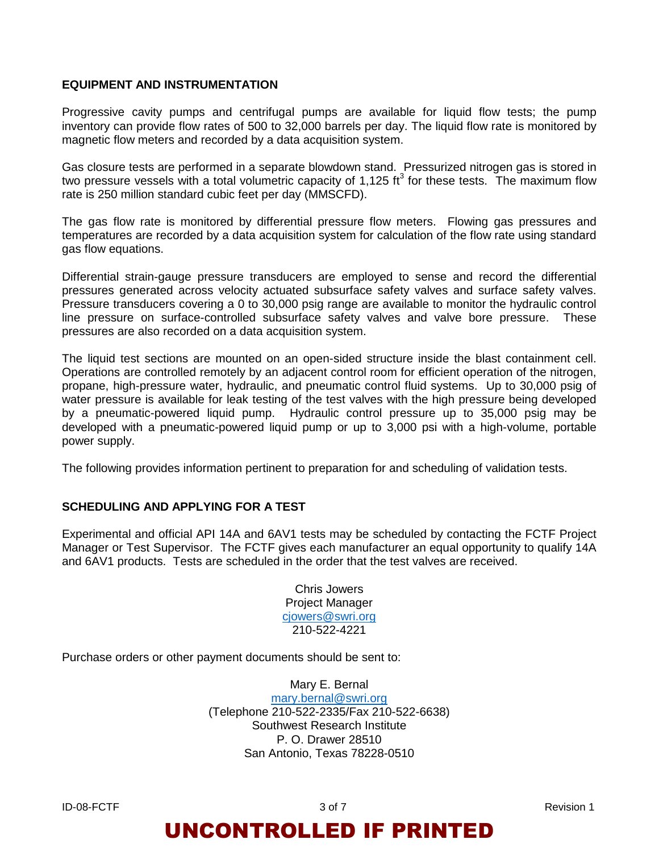#### **EQUIPMENT AND INSTRUMENTATION**

Progressive cavity pumps and centrifugal pumps are available for liquid flow tests; the pump inventory can provide flow rates of 500 to 32,000 barrels per day. The liquid flow rate is monitored by magnetic flow meters and recorded by a data acquisition system.

Gas closure tests are performed in a separate blowdown stand. Pressurized nitrogen gas is stored in two pressure vessels with a total volumetric capacity of 1,125 ft<sup>3</sup> for these tests. The maximum flow rate is 250 million standard cubic feet per day (MMSCFD).

The gas flow rate is monitored by differential pressure flow meters. Flowing gas pressures and temperatures are recorded by a data acquisition system for calculation of the flow rate using standard gas flow equations.

Differential strain-gauge pressure transducers are employed to sense and record the differential pressures generated across velocity actuated subsurface safety valves and surface safety valves. Pressure transducers covering a 0 to 30,000 psig range are available to monitor the hydraulic control line pressure on surface-controlled subsurface safety valves and valve bore pressure. These pressures are also recorded on a data acquisition system.

The liquid test sections are mounted on an open-sided structure inside the blast containment cell. Operations are controlled remotely by an adjacent control room for efficient operation of the nitrogen, propane, high-pressure water, hydraulic, and pneumatic control fluid systems. Up to 30,000 psig of water pressure is available for leak testing of the test valves with the high pressure being developed by a pneumatic-powered liquid pump. Hydraulic control pressure up to 35,000 psig may be developed with a pneumatic-powered liquid pump or up to 3,000 psi with a high-volume, portable power supply.

The following provides information pertinent to preparation for and scheduling of validation tests.

#### **SCHEDULING AND APPLYING FOR A TEST**

Experimental and official API 14A and 6AV1 tests may be scheduled by contacting the FCTF Project Manager or Test Supervisor. The FCTF gives each manufacturer an equal opportunity to qualify 14A and 6AV1 products. Tests are scheduled in the order that the test valves are received.

> Chris Jowers Project Manager [cjowers@swri.org](mailto:cjowers@swri.org) 210-522-4221

Purchase orders or other payment documents should be sent to:

Mary E. Bernal

[mary.bernal@swri.org](mailto:mary.bernal@swri.org) (Telephone 210-522-2335/Fax 210-522-6638) Southwest Research Institute P. O. Drawer 28510 San Antonio, Texas 78228-0510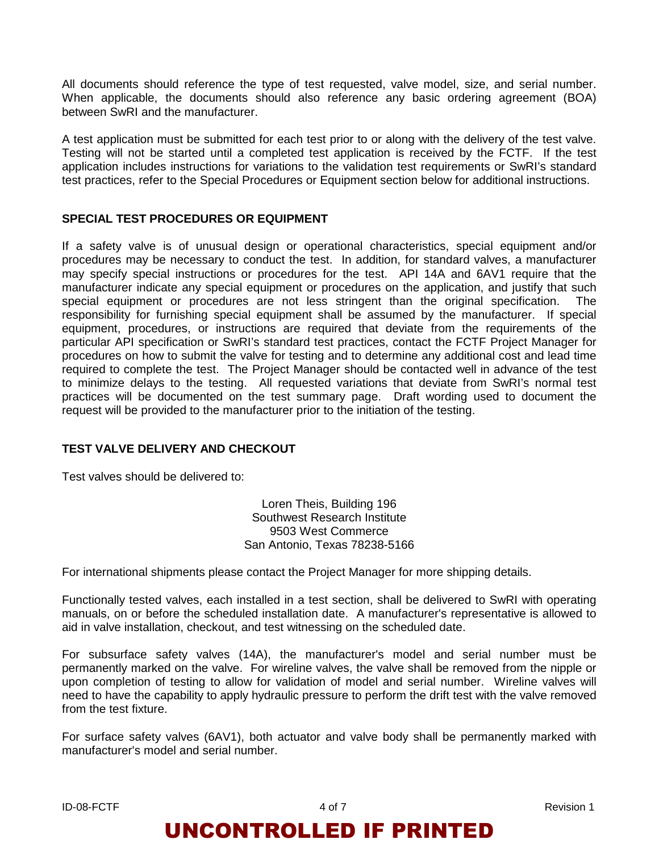All documents should reference the type of test requested, valve model, size, and serial number. When applicable, the documents should also reference any basic ordering agreement (BOA) between SwRI and the manufacturer.

A test application must be submitted for each test prior to or along with the delivery of the test valve. Testing will not be started until a completed test application is received by the FCTF. If the test application includes instructions for variations to the validation test requirements or SwRI's standard test practices, refer to the Special Procedures or Equipment section below for additional instructions.

#### **SPECIAL TEST PROCEDURES OR EQUIPMENT**

If a safety valve is of unusual design or operational characteristics, special equipment and/or procedures may be necessary to conduct the test. In addition, for standard valves, a manufacturer may specify special instructions or procedures for the test. API 14A and 6AV1 require that the manufacturer indicate any special equipment or procedures on the application, and justify that such special equipment or procedures are not less stringent than the original specification. The responsibility for furnishing special equipment shall be assumed by the manufacturer. If special equipment, procedures, or instructions are required that deviate from the requirements of the particular API specification or SwRI's standard test practices, contact the FCTF Project Manager for procedures on how to submit the valve for testing and to determine any additional cost and lead time required to complete the test. The Project Manager should be contacted well in advance of the test to minimize delays to the testing. All requested variations that deviate from SwRI's normal test practices will be documented on the test summary page. Draft wording used to document the request will be provided to the manufacturer prior to the initiation of the testing.

#### **TEST VALVE DELIVERY AND CHECKOUT**

Test valves should be delivered to:

Loren Theis, Building 196 Southwest Research Institute 9503 West Commerce San Antonio, Texas 78238-5166

For international shipments please contact the Project Manager for more shipping details.

Functionally tested valves, each installed in a test section, shall be delivered to SwRI with operating manuals, on or before the scheduled installation date. A manufacturer's representative is allowed to aid in valve installation, checkout, and test witnessing on the scheduled date.

For subsurface safety valves (14A), the manufacturer's model and serial number must be permanently marked on the valve. For wireline valves, the valve shall be removed from the nipple or upon completion of testing to allow for validation of model and serial number. Wireline valves will need to have the capability to apply hydraulic pressure to perform the drift test with the valve removed from the test fixture.

For surface safety valves (6AV1), both actuator and valve body shall be permanently marked with manufacturer's model and serial number.

ID-08-FCTF 4 of 7 Revision 1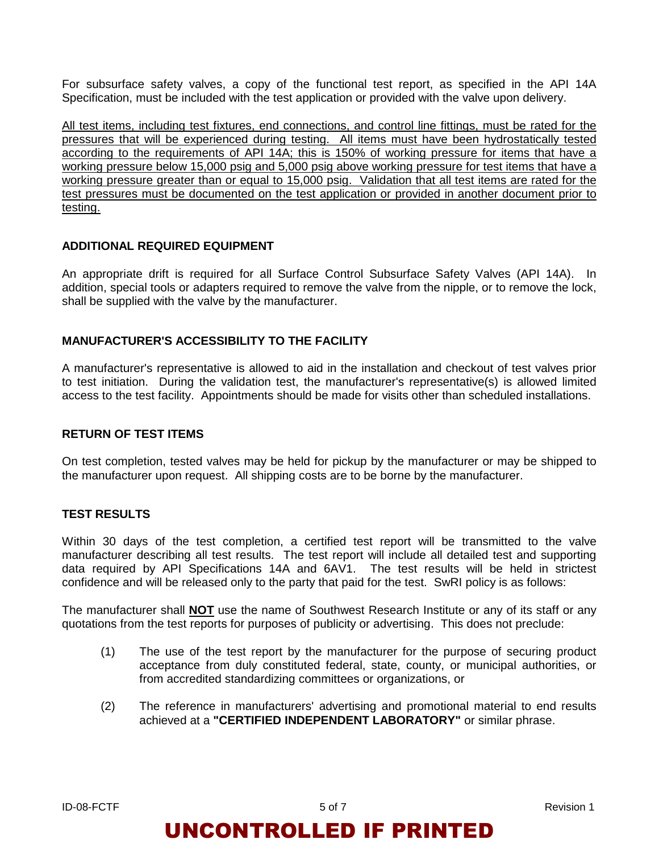For subsurface safety valves, a copy of the functional test report, as specified in the API 14A Specification, must be included with the test application or provided with the valve upon delivery.

All test items, including test fixtures, end connections, and control line fittings, must be rated for the pressures that will be experienced during testing. All items must have been hydrostatically tested according to the requirements of API 14A; this is 150% of working pressure for items that have a working pressure below 15,000 psig and 5,000 psig above working pressure for test items that have a working pressure greater than or equal to 15,000 psig. Validation that all test items are rated for the test pressures must be documented on the test application or provided in another document prior to testing.

#### **ADDITIONAL REQUIRED EQUIPMENT**

An appropriate drift is required for all Surface Control Subsurface Safety Valves (API 14A). In addition, special tools or adapters required to remove the valve from the nipple, or to remove the lock, shall be supplied with the valve by the manufacturer.

#### **MANUFACTURER'S ACCESSIBILITY TO THE FACILITY**

A manufacturer's representative is allowed to aid in the installation and checkout of test valves prior to test initiation. During the validation test, the manufacturer's representative(s) is allowed limited access to the test facility. Appointments should be made for visits other than scheduled installations.

#### **RETURN OF TEST ITEMS**

On test completion, tested valves may be held for pickup by the manufacturer or may be shipped to the manufacturer upon request. All shipping costs are to be borne by the manufacturer.

#### **TEST RESULTS**

Within 30 days of the test completion, a certified test report will be transmitted to the valve manufacturer describing all test results. The test report will include all detailed test and supporting data required by API Specifications 14A and 6AV1. The test results will be held in strictest confidence and will be released only to the party that paid for the test. SwRI policy is as follows:

The manufacturer shall **NOT** use the name of Southwest Research Institute or any of its staff or any quotations from the test reports for purposes of publicity or advertising. This does not preclude:

- (1) The use of the test report by the manufacturer for the purpose of securing product acceptance from duly constituted federal, state, county, or municipal authorities, or from accredited standardizing committees or organizations, or
- (2) The reference in manufacturers' advertising and promotional material to end results achieved at a **"CERTIFIED INDEPENDENT LABORATORY"** or similar phrase.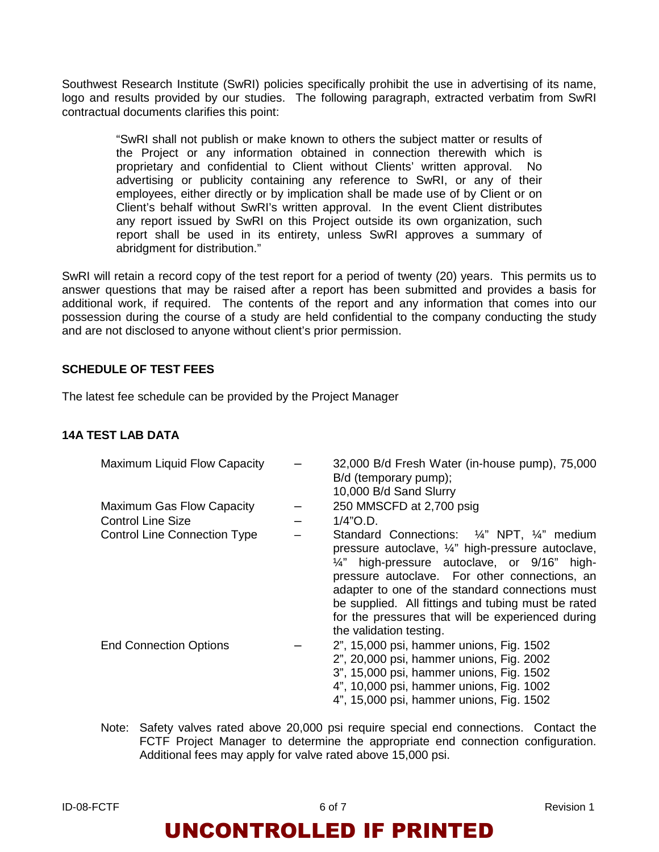Southwest Research Institute (SwRI) policies specifically prohibit the use in advertising of its name, logo and results provided by our studies. The following paragraph, extracted verbatim from SwRI contractual documents clarifies this point:

> "SwRI shall not publish or make known to others the subject matter or results of the Project or any information obtained in connection therewith which is proprietary and confidential to Client without Clients' written approval. No advertising or publicity containing any reference to SwRI, or any of their employees, either directly or by implication shall be made use of by Client or on Client's behalf without SwRI's written approval. In the event Client distributes any report issued by SwRI on this Project outside its own organization, such report shall be used in its entirety, unless SwRI approves a summary of abridgment for distribution."

SwRI will retain a record copy of the test report for a period of twenty (20) years. This permits us to answer questions that may be raised after a report has been submitted and provides a basis for additional work, if required. The contents of the report and any information that comes into our possession during the course of a study are held confidential to the company conducting the study and are not disclosed to anyone without client's prior permission.

#### **SCHEDULE OF TEST FEES**

The latest fee schedule can be provided by the Project Manager

#### **14A TEST LAB DATA**

| Maximum Liquid Flow Capacity        | 32,000 B/d Fresh Water (in-house pump), 75,000<br>B/d (temporary pump);<br>10,000 B/d Sand Slurry                                                                                                                                                                                                                                                                                          |
|-------------------------------------|--------------------------------------------------------------------------------------------------------------------------------------------------------------------------------------------------------------------------------------------------------------------------------------------------------------------------------------------------------------------------------------------|
| Maximum Gas Flow Capacity           | 250 MMSCFD at 2,700 psig                                                                                                                                                                                                                                                                                                                                                                   |
| <b>Control Line Size</b>            | $1/4"$ O.D.                                                                                                                                                                                                                                                                                                                                                                                |
| <b>Control Line Connection Type</b> | Standard Connections: 1/4" NPT, 1/4" medium<br>pressure autoclave, 1/4" high-pressure autoclave,<br>1/4" high-pressure autoclave, or 9/16" high-<br>pressure autoclave. For other connections, an<br>adapter to one of the standard connections must<br>be supplied. All fittings and tubing must be rated<br>for the pressures that will be experienced during<br>the validation testing. |
| <b>End Connection Options</b>       | 2", 15,000 psi, hammer unions, Fig. 1502<br>2", 20,000 psi, hammer unions, Fig. 2002<br>3", 15,000 psi, hammer unions, Fig. 1502<br>4", 10,000 psi, hammer unions, Fig. 1002<br>4", 15,000 psi, hammer unions, Fig. 1502                                                                                                                                                                   |

Note: Safety valves rated above 20,000 psi require special end connections. Contact the FCTF Project Manager to determine the appropriate end connection configuration. Additional fees may apply for valve rated above 15,000 psi.